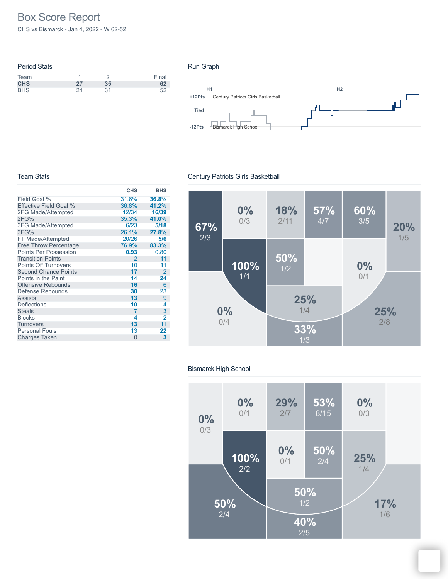# Box Score Report

CHS vs Bismarck - Jan 4, 2022 - W 62-52

| <b>Period Stats</b> |    |    |       |
|---------------------|----|----|-------|
| Team                |    |    | Final |
| <b>CHS</b>          | 27 | 35 | 62    |
| <b>BHS</b>          | 21 | 31 |       |

### Run Graph



### Team Stats

#### **CHS BHS** Field Goal % Effective Field Goal % 2FG Made/Attempted 2FG% 3FG Made/Attempted 3FG% FT Made/Attempted Free Throw Percentage Points Per Possession Transition Points Points Off Turnovers Second Chance Points Points in the Paint Offensive Rebounds Defense Rebounds Assists **Deflections Steals** Blocks **Turnovers** Personal Fouls Charges Taken 0 31.6% **36.8%** 36.8% **41.2%** 12/34 **16/39** 35.3% **41.0%** 6/23 **5/18** 26.1% **27.8%** 20/26 **5/6** 76.9% **83.3% 0.93** 0.80  $\begin{array}{ccc} 2 & \hspace{1.5mm} \textbf{11} \\ 10 & \hspace{1.5mm} \textbf{11} \end{array}$ 10 **11**  $\begin{array}{ccc} 17 & 2 \\ 14 & 24 \end{array}$ 14 **24** 16 6<br>30 23 **30** 23 **13** 9  $\frac{10}{7}$  $\begin{array}{ccc} 7 & 3 \\ 4 & 2 \end{array}$  $\frac{4}{13}$   $\frac{2}{11}$ **13** 11 13 **22 3**

# Century Patriots Girls Basketball



### Bismarck High School